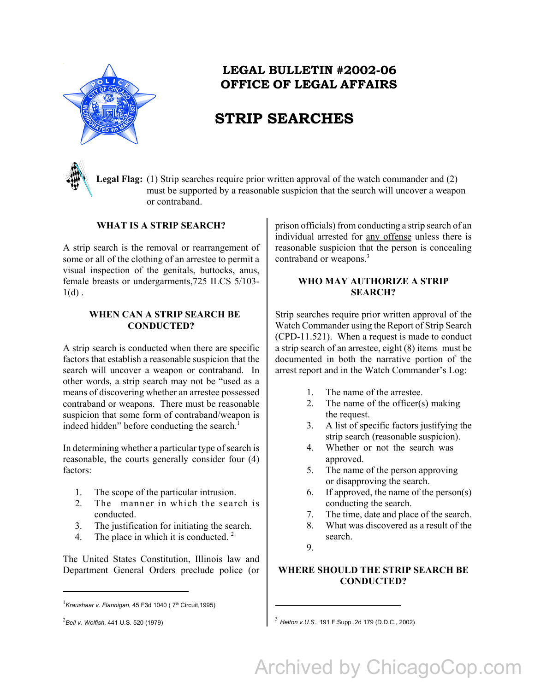

### **LEGAL BULLETIN #2002-06 OFFICE OF LEGAL AFFAIRS**

## **STRIP SEARCHES**

**Legal Flag:** (1) Strip searches require prior written approval of the watch commander and (2) must be supported by a reasonable suspicion that the search will uncover a weapon or contraband.

#### **WHAT IS A STRIP SEARCH?**

A strip search is the removal or rearrangement of some or all of the clothing of an arrestee to permit a visual inspection of the genitals, buttocks, anus, female breasts or undergarments,725 ILCS 5/103-  $1(d)$ .

#### **WHEN CAN A STRIP SEARCH BE CONDUCTED?**

A strip search is conducted when there are specific factors that establish a reasonable suspicion that the search will uncover a weapon or contraband. In other words, a strip search may not be "used as a means of discovering whether an arrestee possessed contraband or weapons. There must be reasonable suspicion that some form of contraband/weapon is indeed hidden" before conducting the search.<sup>1</sup>

In determining whether a particular type of search is reasonable, the courts generally consider four (4) factors:

- 1. The scope of the particular intrusion.
- 2. The manner in which the search is conducted.
- 3. The justification for initiating the search.
- 4. The place in which it is conducted.  $2^{\circ}$

The United States Constitution, Illinois law and Department General Orders preclude police (or prison officials) from conducting a strip search of an individual arrested for any offense unless there is reasonable suspicion that the person is concealing contraband or weapons.<sup>3</sup>

#### **WHO MAY AUTHORIZE A STRIP SEARCH?**

Strip searches require prior written approval of the Watch Commander using the Report of Strip Search (CPD-11.521). When a request is made to conduct a strip search of an arrestee, eight (8) items must be documented in both the narrative portion of the arrest report and in the Watch Commander's Log:

- 1. The name of the arrestee.
- 2. The name of the officer(s) making the request.
- 3. A list of specific factors justifying the strip search (reasonable suspicion).
- 4. Whether or not the search was approved.
- 5. The name of the person approving or disapproving the search.
- 6. If approved, the name of the person(s) conducting the search.
- 7. The time, date and place of the search.
- 8. What was discovered as a result of the search.
- 9.

#### **WHERE SHOULD THE STRIP SEARCH BE CONDUCTED?**

<sup>&</sup>lt;sup>1</sup> Kraushaar v. Flannigan, 45 F3d 1040 ( 7<sup>th</sup> Circuit,1995)

 $^{2}$ Bell v. Wolfish, 441 U.S. 520 (1979).

*Bell v. Wolfish*, 441 U.S. 520 (1979) <sup>3</sup> *Helton v.U.S.*, 191 F.Supp. 2d 179 (D.D.C., 2002)